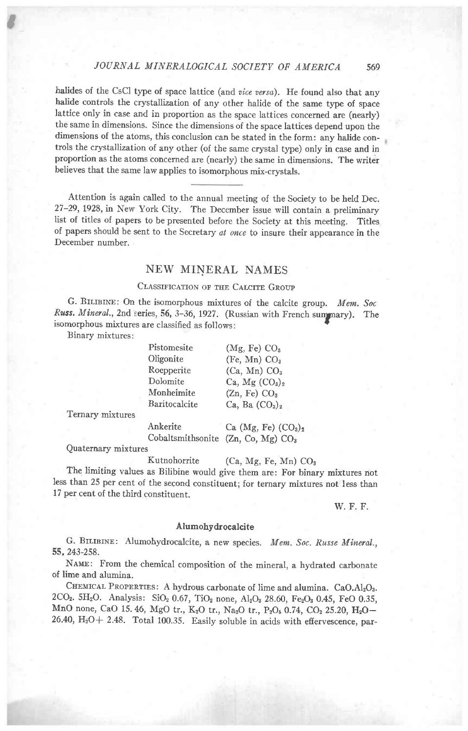## JOURNAL MINERALOGICAL SOCIETY OF AMERICA 569

halides of the CsCl type of space lattice (and vice versa). He found also that any halide controls the crystallization of any other halide of the same type of space lattice only in case and in proportion as the space lattices concerned are (nearly) the same in dimensions. Since the dimensions of the space lattices depend upon the dimensions of the atoms, this conclusion can be stated in the form: any halide controls the crystallization of any other (of the same crystal type) only in case and in proportion as the atoms concerned are (nearly) the same in dimensions. The writer believes that the same law applies to isomorphous mix-crystals.

Attention is again called to the annual meeting of the Society to be held Dec. 27-29, 1928, in New York City. The December issue will contain a preliminary list of titles of papers to be presented before the Society at this meeting. Titles of papers should be sent to the Secretary al once to insure their appearance in the December number.

# NEW MINERAL NAMES

## CLASSIFICATION OF THE CALCITE GROUP

G. BILIBINE: On the isomorphous mixtures of the calcite group. Mem. Soc Russ. Mineral., 2nd series, 56, 3-36, 1927. (Russian with French summary). The isomorphous mixtures are classified as follows:

Binary mixtures:

t

| Pistomesite   | (Mg, Fe) CO <sub>3</sub>                 |
|---------------|------------------------------------------|
| Oligonite     | (Fe, Mn) CO <sub>3</sub>                 |
| Roepperite    | (Ca, Mn) CO <sub>3</sub>                 |
| Dolomite      | Ca, $Mg$ (CO <sub>3</sub> ) <sub>2</sub> |
| Monheimite    | (Zn, Fe) CO <sub>3</sub>                 |
| Baritocalcite | Ca, Ba $(CO_3)_2$                        |

Temary mixtures

Ankerite  $Ca (Mg, Fe) (CO<sub>3</sub>)<sub>2</sub>$ Cobaltsmithsonite (Zn, Co, Mg) COa

Quaternary mixtures

Kutnohorrite  $(Ca, Mg, Fe, Mn) CO<sub>3</sub>$ 

The limiting values as Bilibine would give them are: For binary mixtures not less than 25 per cent of the second constituent; for ternary mixtures not less than 17 per cent of the third constituent.

w. F. F.

### Alumohydrocalcite

G. BILIBINE: Alumohydrocalcite, a new species. Mem. Soc. Russe Mineral., 55,243-258.

NAME: From the chemical composition of the mineral, a hydrated carbonate of lime and alumina.

CHEMICAL PROPERTIES: A hydrous carbonate of lime and alumina. CaO.Al2O3. 2CO<sub>2</sub>. 5H<sub>2</sub>O. Analysis: SiO<sub>2</sub> 0.67, TiO<sub>2</sub> none, Al<sub>2</sub>O<sub>3</sub> 28.60, Fe<sub>2</sub>O<sub>3</sub> 0.45, FeO 0.35, MnO none, CaO 15.46, MgO tr., K<sub>2</sub>O tr., Na<sub>2</sub>O tr., P<sub>2</sub>O<sub>5</sub> 0.74, CO<sub>2</sub> 25.20, H<sub>2</sub>O-26.40,  $H_2O + 2.48$ . Total 100.35. Easily soluble in acids with effervescence, par